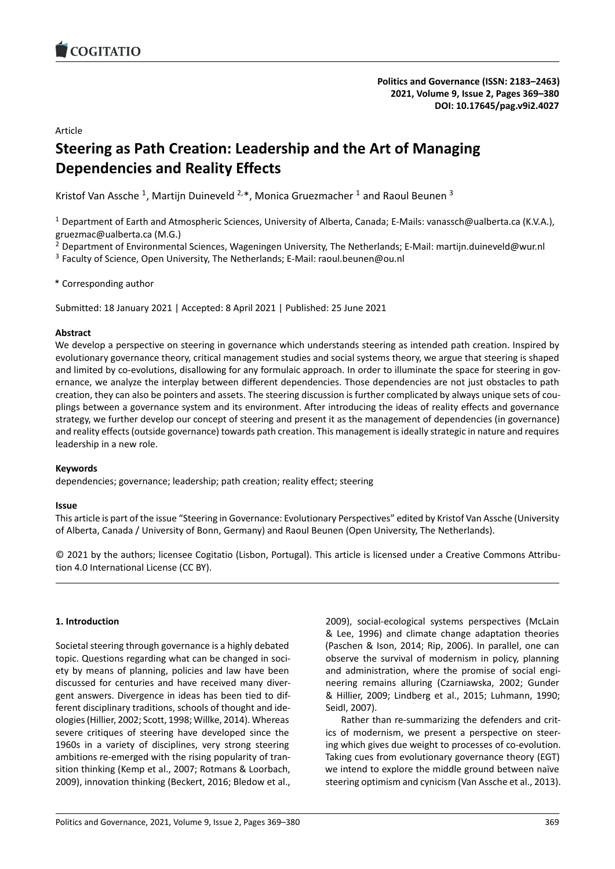# Article

# **Steering as Path Creation: Leadership and the Art of Mana[ging](https://doi.org/10.17645/pag.v9i2.4027) Dependencies and Reality Effects**

Kristof Van Assche<sup>1</sup>, Martijn Duineveld <sup>2,\*</sup>, Monica Gruezmacher <sup>1</sup> and Raoul Beunen <sup>3</sup>

<sup>1</sup> Department of Earth and Atmospheric Sciences, University of Alberta, Canada; E-Mails: vanassch@ualberta.ca (K.V.A.), gruezmac@ualberta.ca (M.G.)

<sup>2</sup> Department of Environmental Sciences, Wageningen University, The Netherlands; E-Mail: martijn.duineveld@wur.nl

<sup>3</sup> Faculty of Science, Open University, The Netherlands; E-Mail: raoul.beunen@ou.nl

\* Corresponding author

Submitted: 18 January 2021 | Accepted: 8 April 2021 | Published: 25 June 2021

### **Abstract**

We develop a perspective on steering in governance which understands steering as intended path creation. Inspired by evolutionary governance theory, critical management studies and social systems theory, we argue that steering is shaped and limited by co-evolutions, disallowing for any formulaic approach. In order to illuminate the space for steering in governance, we analyze the interplay between different dependencies. Those dependencies are not just obstacles to path creation, they can also be pointers and assets. The steering discussion is further complicated by always unique sets of couplings between a governance system and its environment. After introducing the ideas of reality effects and governance strategy, we further develop our concept of steering and present it as the management of dependencies (in governance) and reality effects (outside governance) towards path creation. This management is ideally strategic in nature and requires leadership in a new role.

# **Keywords**

dependencies; governance; leadership; path creation; reality effect; steering

### **Issue**

This article is part of the issue "Steering in Governance: Evolutionary Perspectives" edited by Kristof Van Assche (University of Alberta, Canada / University of Bonn, Germany) and Raoul Beunen (Open University, The Netherlands).

© 2021 by the authors; licensee Cogitatio (Lisbon, Portugal). This article is licensed under a Creative Commons Attribu‐ tion 4.0 International License (CC BY).

### **1. Introduction**

Societal steering through governance is a highly debated topic. Questions regarding what can be changed in soci‐ ety by means of planning, policies and law have been discussed for centuries and have received many diver‐ gent answers. Divergence in ideas has been tied to dif‐ ferent disciplinary traditions, schools of thought and ide‐ ologies (Hillier, 2002; Scott, 1998; Willke, 2014). Whereas severe critiques of steering have developed since the 1960s in a variety of disciplines, very strong steering ambitions re-emerged with the rising popularity of transition thinking (Kemp et al., 2007; Rotmans & Loorbach, 2009), innovation thinking (Beckert, 2016; Bledow et al.,

2009), social‐ecological systems perspectives (McLain & Lee, 1996) and climate change adaptation theories (Paschen & Ison, 2014; Rip, 2006). In parallel, one can observe the survival of modernism in policy, planning and administration, where the promise of social engineering remains alluring (Czarniawska, 2002; Gunder & Hillier, 2009; Lindberg et al., 2015; Luhmann, 1990; Seidl, 2007).

Rather than re‐summarizing the defenders and crit‐ ics of modernism, we present a perspective on steer‐ ing which gives due weight to processes of co‐evolution. Taking cues from evolutionary governance theory (EGT) we intend to explore the middle ground between naïve steering optimism and cynicism (Van Assche et al., 2013).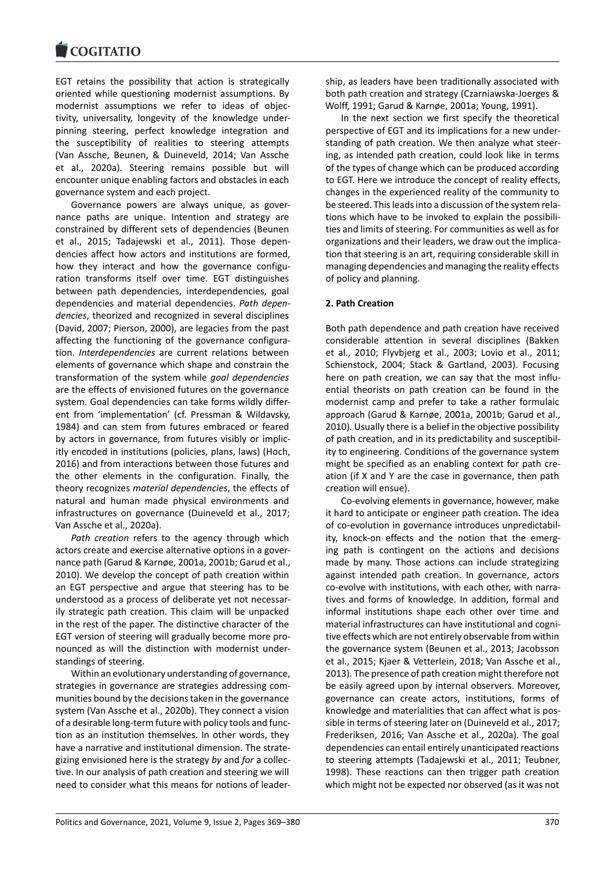EGT retains the possibility that action is strategically [oriented while ques](https://www.cogitatiopress.com)tioning modernist assumptions. By modernist assumptions we refer to ideas of objec‐ tivity, universality, longevity of the knowledge under‐ pinning steering, perfect knowledge integration and the susceptibility of realities to steering attempts (Van Assche, Beunen, & Duineveld, 2014; Van Assche et al., 2020a). Steering remains possible but will encounter unique enabling factors and obstacles in each governance system and each project.

Governance powers are always unique, as gover‐ nance paths are unique. Intention and strategy are constrained by different sets of dependencies (Beunen et al., 2015; Tadajewski et al., 2011). Those depen‐ dencies affect how actors and institutions are formed, how they interact and how the governance configuration transforms itself over time. EGT distinguishes between path dependencies, interdependencies, goal dependencies and material dependencies. *Path depen‐ dencies*, theorized and recognized in several disciplines (David, 2007; Pierson, 2000), are legacies from the past affecting the functioning of the governance configura‐ tion. *Interdependencies* are current relations between elements of governance which shape and constrain the transformation of the system while *goal dependencies* are the effects of envisioned futures on the governance system. Goal dependencies can take forms wildly differ‐ ent from 'implementation' (cf. Pressman & Wildavsky, 1984) and can stem from futures embraced or feared by actors in governance, from futures visibly or implic‐ itly encoded in institutions (policies, plans, laws) (Hoch, 2016) and from interactions between those futures and the other elements in the configuration. Finally, the theory recognizes *material dependencies*, the effects of natural and human made physical environments and infrastructures on governance (Duineveld et al., 2017; Van Assche et al., 2020a).

*Path creation* refers to the agency through which actors create and exercise alternative options in a gover‐ nance path (Garud & Karnøe, 2001a, 2001b; Garud et al., 2010). We develop the concept of path creation within an EGT perspective and argue that steering has to be understood as a process of deliberate yet not necessar‐ ily strategic path creation. This claim will be unpacked in the rest of the paper. The distinctive character of the EGT version of steering will gradually become more pro‐ nounced as will the distinction with modernist under‐ standings of steering.

Within an evolutionary understanding of governance, strategies in governance are strategies addressing com‐ munities bound by the decisions taken in the governance system (Van Assche et al., 2020b). They connect a vision of a desirable long‐term future with policy tools and func‐ tion as an institution themselves. In other words, they have a narrative and institutional dimension. The strate‐ gizing envisioned here is the strategy *by* and *for* a collec‐ tive. In our analysis of path creation and steering we will need to consider what this means for notions of leader‐ ship, as leaders have been traditionally associated with both path creation and strategy (Czarniawska‐Joerges & Wolff, 1991; Garud & Karnøe, 2001a; Young, 1991).

In the next section we first specify the theoretical perspective of EGT and its implications for a new under‐ standing of path creation. We then analyze what steer‐ ing, as intended path creation, could look like in terms of the types of change which can be produced according to EGT. Here we introduce the concept of reality effects, changes in the experienced reality of the community to be steered. This leads into a discussion of the system rela‐ tions which have to be invoked to explain the possibili‐ ties and limits of steering. For communities as well as for organizations and their leaders, we draw out the implica‐ tion that steering is an art, requiring considerable skill in managing dependencies and managing the reality effects of policy and planning.

# **2. Path Creation**

Both path dependence and path creation have received considerable attention in several disciplines (Bakken et al., 2010; Flyvbjerg et al., 2003; Lovio et al., 2011; Schienstock, 2004; Stack & Gartland, 2003). Focusing here on path creation, we can say that the most influential theorists on path creation can be found in the modernist camp and prefer to take a rather formulaic approach (Garud & Karnøe, 2001a, 2001b; Garud et al., 2010). Usually there is a belief in the objective possibility of path creation, and in its predictability and susceptibil‐ ity to engineering. Conditions of the governance system might be specified as an enabling context for path cre‐ ation (if X and Y are the case in governance, then path creation will ensue).

Co‐evolving elements in governance, however, make it hard to anticipate or engineer path creation. The idea of co‐evolution in governance introduces unpredictabil‐ ity, knock-on effects and the notion that the emerging path is contingent on the actions and decisions made by many. Those actions can include strategizing against intended path creation. In governance, actors co‐evolve with institutions, with each other, with narra‐ tives and forms of knowledge. In addition, formal and informal institutions shape each other over time and material infrastructures can have institutional and cogni‐ tive effects which are not entirely observable from within the governance system (Beunen et al., 2013; Jacobsson et al., 2015; Kjaer & Vetterlein, 2018; Van Assche et al., 2013). The presence of path creation might therefore not be easily agreed upon by internal observers. Moreover, governance can create actors, institutions, forms of knowledge and materialities that can affect what is pos‐ sible in terms of steering later on (Duineveld et al., 2017; Frederiksen, 2016; Van Assche et al., 2020a). The goal dependencies can entail entirely unanticipated reactions to steering attempts (Tadajewski et al., 2011; Teubner, 1998). These reactions can then trigger path creation which might not be expected nor observed (as it was not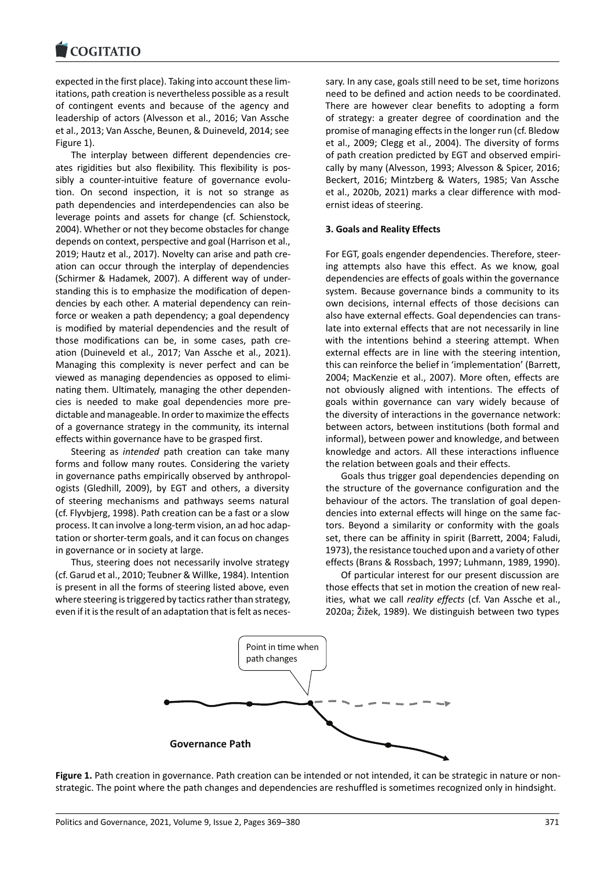#### COGHALIO

expected in the first place). Taking into account these lim‐ [itations, path creatio](https://www.cogitatiopress.com)n is nevertheless possible as a result of contingent events and because of the agency and leadership of actors (Alvesson et al., 2016; Van Assche et al., 2013; Van Assche, Beunen, & Duineveld, 2014; see Figure 1).

The interplay between different dependencies cre‐ ates rigidities but also flexibility. This flexibility is pos‐ sibly a counter-intuitive feature of governance evolution. On second inspection, it is not so strange as path dependencies and interdependencies can also be leverage points and assets for change (cf. Schienstock, 2004). Whether or not they become obstacles for change depends on context, perspective and goal (Harrison et al., 2019; Hautz et al., 2017). Novelty can arise and path cre‐ ation can occur through the interplay of dependencies (Schirmer & Hadamek, 2007). A different way of under‐ standing this is to emphasize the modification of depen‐ dencies by each other. A material dependency can rein‐ force or weaken a path dependency; a goal dependency is modified by material dependencies and the result of those modifications can be, in some cases, path cre‐ ation (Duineveld et al., 2017; Van Assche et al., 2021). Managing this complexity is never perfect and can be viewed as managing dependencies as opposed to elimi‐ nating them. Ultimately, managing the other dependen‐ cies is needed to make goal dependencies more pre‐ dictable and manageable. In order to maximize the effects of a governance strategy in the community, its internal effects within governance have to be grasped first.

Steering as *intended* path creation can take many forms and follow many routes. Considering the variety in governance paths empirically observed by anthropol‐ ogists (Gledhill, 2009), by EGT and others, a diversity of steering mechanisms and pathways seems natural (cf. Flyvbjerg, 1998). Path creation can be a fast or a slow process. It can involve a long‐term vision, an ad hoc adap‐ tation or shorter‐term goals, and it can focus on changes in governance or in society at large.

Thus, steering does not necessarily involve strategy (cf. Garud et al., 2010; Teubner & Willke, 1984). Intention is present in all the forms of steering listed above, even where steering is triggered by tactics rather than strategy, even if it is the result of an adaptation that is felt as neces‐ sary. In any case, goals still need to be set, time horizons need to be defined and action needs to be coordinated. There are however clear benefits to adopting a form of strategy: a greater degree of coordination and the promise of managing effects in the longer run (cf. Bledow et al., 2009; Clegg et al., 2004). The diversity of forms of path creation predicted by EGT and observed empiri‐ cally by many (Alvesson, 1993; Alvesson & Spicer, 2016; Beckert, 2016; Mintzberg & Waters, 1985; Van Assche et al., 2020b, 2021) marks a clear difference with mod‐ ernist ideas of steering.

### **3. Goals and Reality Effects**

For EGT, goals engender dependencies. Therefore, steer‐ ing attempts also have this effect. As we know, goal dependencies are effects of goals within the governance system. Because governance binds a community to its own decisions, internal effects of those decisions can also have external effects. Goal dependencies can trans‐ late into external effects that are not necessarily in line with the intentions behind a steering attempt. When external effects are in line with the steering intention, this can reinforce the belief in 'implementation' (Barrett, 2004; MacKenzie et al., 2007). More often, effects are not obviously aligned with intentions. The effects of goals within governance can vary widely because of the diversity of interactions in the governance network: between actors, between institutions (both formal and informal), between power and knowledge, and between knowledge and actors. All these interactions influence the relation between goals and their effects.

Goals thus trigger goal dependencies depending on the structure of the governance configuration and the behaviour of the actors. The translation of goal depen‐ dencies into external effects will hinge on the same fac‐ tors. Beyond a similarity or conformity with the goals set, there can be affinity in spirit (Barrett, 2004; Faludi, 1973), the resistance touched upon and a variety of other effects (Brans & Rossbach, 1997; Luhmann, 1989, 1990).

Of particular interest for our present discussion are those effects that set in motion the creation of new real‐ ities, what we call *reality effects* (cf. Van Assche et al., 2020a; Žižek, 1989). We distinguish between two types



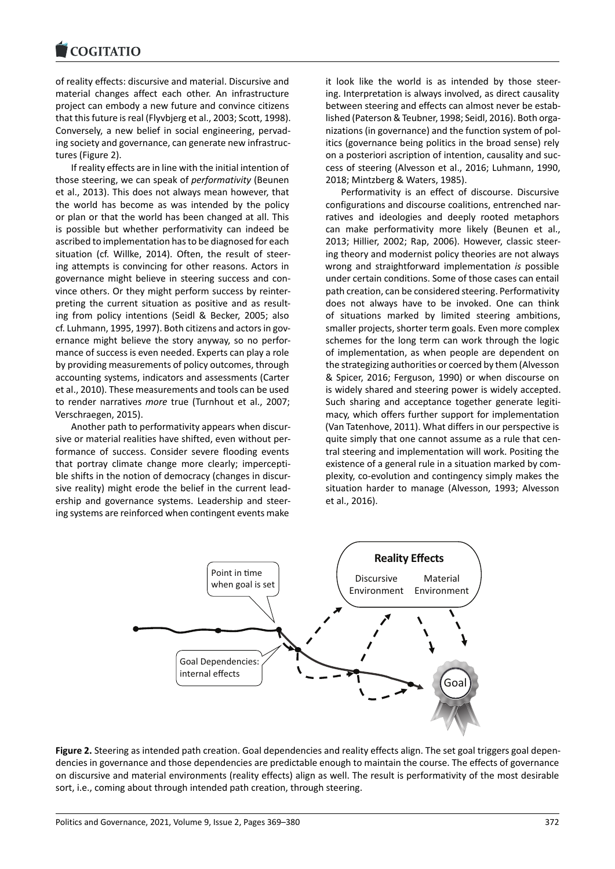#### COGITATIO

of reality effects: discursive and material. Discursive and [material changes af](https://www.cogitatiopress.com)fect each other. An infrastructure project can embody a new future and convince citizens that this future is real (Flyvbjerg et al., 2003; Scott, 1998). Conversely, a new belief in social engineering, pervad‐ ing society and governance, can generate new infrastruc‐ tures (Figure 2).

If reality effects are in line with the initial intention of those steering, we can speak of *performativity* (Beunen et al., 2013). This does not always mean however, that the world has become as was intended by the policy or plan or that the world has been changed at all. This is possible but whether performativity can indeed be ascribed to implementation has to be diagnosed for each situation (cf. Willke, 2014). Often, the result of steer‐ ing attempts is convincing for other reasons. Actors in governance might believe in steering success and con‐ vince others. Or they might perform success by reinter‐ preting the current situation as positive and as result‐ ing from policy intentions (Seidl & Becker, 2005; also cf. Luhmann, 1995, 1997). Both citizens and actors in governance might believe the story anyway, so no perfor‐ mance of success is even needed. Experts can play a role by providing measurements of policy outcomes, through accounting systems, indicators and assessments (Carter et al., 2010). These measurements and tools can be used to render narratives *more* true (Turnhout et al., 2007; Verschraegen, 2015).

Another path to performativity appears when discur‐ sive or material realities have shifted, even without per‐ formance of success. Consider severe flooding events that portray climate change more clearly; impercepti‐ ble shifts in the notion of democracy (changes in discursive reality) might erode the belief in the current lead‐ ership and governance systems. Leadership and steer‐ ing systems are reinforced when contingent events make

it look like the world is as intended by those steer‐ ing. Interpretation is always involved, as direct causality between steering and effects can almost never be estab‐ lished (Paterson & Teubner, 1998; Seidl, 2016). Both orga‐ nizations (in governance) and the function system of pol‐ itics (governance being politics in the broad sense) rely on a posteriori ascription of intention, causality and suc‐ cess of steering (Alvesson et al., 2016; Luhmann, 1990, 2018; Mintzberg & Waters, 1985).

Performativity is an effect of discourse. Discursive configurations and discourse coalitions, entrenched nar‐ ratives and ideologies and deeply rooted metaphors can make performativity more likely (Beunen et al., 2013; Hillier, 2002; Rap, 2006). However, classic steer‐ ing theory and modernist policy theories are not always wrong and straightforward implementation *is* possible under certain conditions. Some of those cases can entail path creation, can be considered steering. Performativity does not always have to be invoked. One can think of situations marked by limited steering ambitions, smaller projects, shorter term goals. Even more complex schemes for the long term can work through the logic of implementation, as when people are dependent on the strategizing authorities or coerced by them (Alvesson & Spicer, 2016; Ferguson, 1990) or when discourse on is widely shared and steering power is widely accepted. Such sharing and acceptance together generate legitimacy, which offers further support for implementation (Van Tatenhove, 2011). What differs in our perspective is quite simply that one cannot assume as a rule that cen‐ tral steering and implementation will work. Positing the existence of a general rule in a situation marked by com‐ plexity, co‐evolution and contingency simply makes the situation harder to manage (Alvesson, 1993; Alvesson et al., 2016).



Figure 2. Steering as intended path creation. Goal dependencies and reality effects align. The set goal triggers goal dependencies in governance and those dependencies are predictable enough to maintain the course. The effects of governance on discursive and material environments (reality effects) align as well. The result is performativity of the most desirable sort, i.e., coming about through intended path creation, through steering.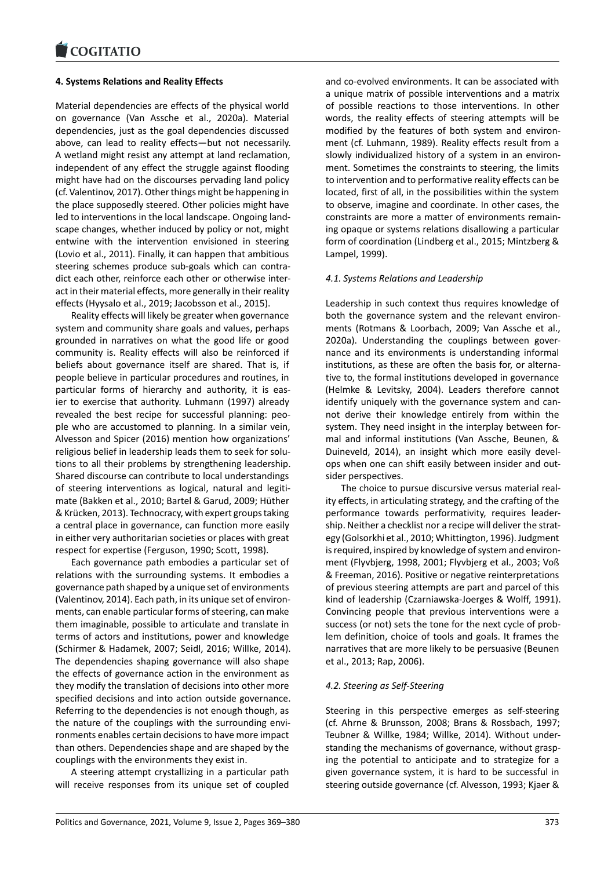### **4. Systems Relations and Reality Effects**

[Material dependenci](https://www.cogitatiopress.com)es are effects of the physical world on governance (Van Assche et al., 2020a). Material dependencies, just as the goal dependencies discussed above, can lead to reality effects—but not necessarily. A wetland might resist any attempt at land reclamation, independent of any effect the struggle against flooding might have had on the discourses pervading land policy (cf. Valentinov, 2017). Other things might be happening in the place supposedly steered. Other policies might have led to interventions in the local landscape. Ongoing land‐ scape changes, whether induced by policy or not, might entwine with the intervention envisioned in steering (Lovio et al., 2011). Finally, it can happen that ambitious steering schemes produce sub-goals which can contradict each other, reinforce each other or otherwise inter‐ act in their material effects, more generally in their reality effects (Hyysalo et al., 2019; Jacobsson et al., 2015).

Reality effects will likely be greater when governance system and community share goals and values, perhaps grounded in narratives on what the good life or good community is. Reality effects will also be reinforced if beliefs about governance itself are shared. That is, if people believe in particular procedures and routines, in particular forms of hierarchy and authority, it is eas‐ ier to exercise that authority. Luhmann (1997) already revealed the best recipe for successful planning: peo‐ ple who are accustomed to planning. In a similar vein, Alvesson and Spicer (2016) mention how organizations' religious belief in leadership leads them to seek for solu‐ tions to all their problems by strengthening leadership. Shared discourse can contribute to local understandings of steering interventions as logical, natural and legiti‐ mate (Bakken et al., 2010; Bartel & Garud, 2009; Hüther & Krücken, 2013). Technocracy, with expert groups taking a central place in governance, can function more easily in either very authoritarian societies or places with great respect for expertise (Ferguson, 1990; Scott, 1998).

Each governance path embodies a particular set of relations with the surrounding systems. It embodies a governance path shaped by a unique set of environments (Valentinov, 2014). Each path, in its unique set of environ‐ ments, can enable particular forms of steering, can make them imaginable, possible to articulate and translate in terms of actors and institutions, power and knowledge (Schirmer & Hadamek, 2007; Seidl, 2016; Willke, 2014). The dependencies shaping governance will also shape the effects of governance action in the environment as they modify the translation of decisions into other more specified decisions and into action outside governance. Referring to the dependencies is not enough though, as the nature of the couplings with the surrounding envi‐ ronments enables certain decisions to have more impact than others. Dependencies shape and are shaped by the couplings with the environments they exist in.

A steering attempt crystallizing in a particular path will receive responses from its unique set of coupled and co-evolved environments. It can be associated with a unique matrix of possible interventions and a matrix of possible reactions to those interventions. In other words, the reality effects of steering attempts will be modified by the features of both system and environ‐ ment (cf. Luhmann, 1989). Reality effects result from a slowly individualized history of a system in an environ‐ ment. Sometimes the constraints to steering, the limits to intervention and to performative reality effects can be located, first of all, in the possibilities within the system to observe, imagine and coordinate. In other cases, the constraints are more a matter of environments remain‐ ing opaque or systems relations disallowing a particular form of coordination (Lindberg et al., 2015; Mintzberg & Lampel, 1999).

### *4.1. Systems Relations and Leadership*

Leadership in such context thus requires knowledge of both the governance system and the relevant environments (Rotmans & Loorbach, 2009; Van Assche et al., 2020a). Understanding the couplings between gover‐ nance and its environments is understanding informal institutions, as these are often the basis for, or alternative to, the formal institutions developed in governance (Helmke & Levitsky, 2004). Leaders therefore cannot identify uniquely with the governance system and can‐ not derive their knowledge entirely from within the system. They need insight in the interplay between for‐ mal and informal institutions (Van Assche, Beunen, & Duineveld, 2014), an insight which more easily devel‐ ops when one can shift easily between insider and out‐ sider perspectives.

The choice to pursue discursive versus material real‐ ity effects, in articulating strategy, and the crafting of the performance towards performativity, requires leader‐ ship. Neither a checklist nor a recipe will deliver the strat‐ egy (Golsorkhi et al., 2010; Whittington, 1996). Judgment is required, inspired by knowledge of system and environment (Flyvbjerg, 1998, 2001; Flyvbjerg et al., 2003; Voß & Freeman, 2016). Positive or negative reinterpretations of previous steering attempts are part and parcel of this kind of leadership (Czarniawska‐Joerges & Wolff, 1991). Convincing people that previous interventions were a success (or not) sets the tone for the next cycle of problem definition, choice of tools and goals. It frames the narratives that are more likely to be persuasive (Beunen et al., 2013; Rap, 2006).

### *4.2. Steering as Self‐Steering*

Steering in this perspective emerges as self‐steering (cf. Ahrne & Brunsson, 2008; Brans & Rossbach, 1997; Teubner & Willke, 1984; Willke, 2014). Without under‐ standing the mechanisms of governance, without grasp‐ ing the potential to anticipate and to strategize for a given governance system, it is hard to be successful in steering outside governance (cf. Alvesson, 1993; Kjaer &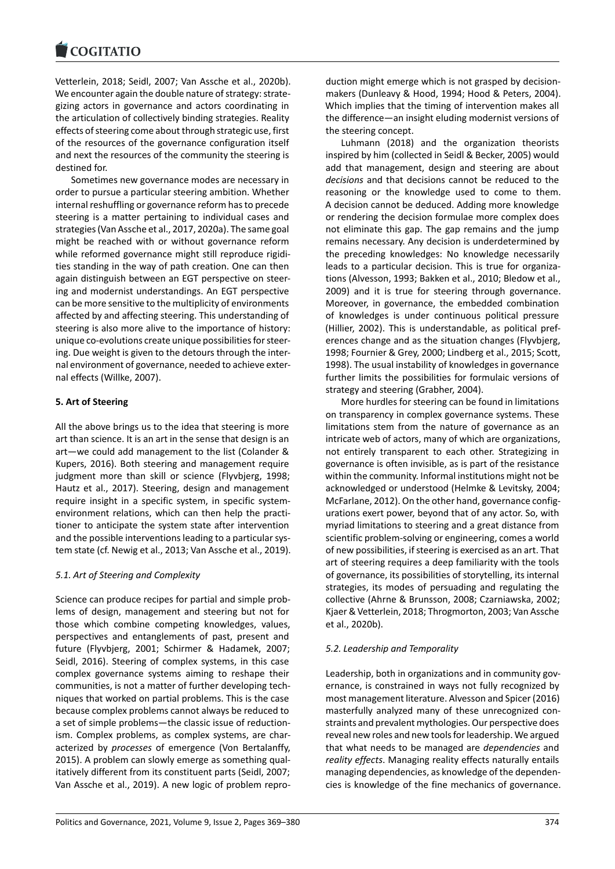Vetterlein, 2018; Seidl, 2007; Van Assche et al., 2020b). [We encounter again t](https://www.cogitatiopress.com)he double nature of strategy: strategizing actors in governance and actors coordinating in the articulation of collectively binding strategies. Reality effects of steering come about through strategic use, first of the resources of the governance configuration itself and next the resources of the community the steering is destined for.

Sometimes new governance modes are necessary in order to pursue a particular steering ambition. Whether internal reshuffling or governance reform has to precede steering is a matter pertaining to individual cases and strategies (Van Assche et al., 2017, 2020a). The same goal might be reached with or without governance reform while reformed governance might still reproduce rigidi‐ ties standing in the way of path creation. One can then again distinguish between an EGT perspective on steer‐ ing and modernist understandings. An EGT perspective can be more sensitive to the multiplicity of environments affected by and affecting steering. This understanding of steering is also more alive to the importance of history: unique co‐evolutions create unique possibilities for steer‐ ing. Due weight is given to the detours through the inter‐ nal environment of governance, needed to achieve exter‐ nal effects (Willke, 2007).

# **5. Art of Steering**

All the above brings us to the idea that steering is more art than science. It is an art in the sense that design is an art—we could add management to the list (Colander & Kupers, 2016). Both steering and management require judgment more than skill or science (Flyvbjerg, 1998; Hautz et al., 2017). Steering, design and management require insight in a specific system, in specific system‐ environment relations, which can then help the practi‐ tioner to anticipate the system state after intervention and the possible interventions leading to a particular system state (cf. Newig et al., 2013; Van Assche et al., 2019).

# *5.1. Art of Steering and Complexity*

Science can produce recipes for partial and simple prob‐ lems of design, management and steering but not for those which combine competing knowledges, values, perspectives and entanglements of past, present and future (Flyvbjerg, 2001; Schirmer & Hadamek, 2007; Seidl, 2016). Steering of complex systems, in this case complex governance systems aiming to reshape their communities, is not a matter of further developing tech‐ niques that worked on partial problems. This is the case because complex problems cannot always be reduced to a set of simple problems—the classic issue of reduction‐ ism. Complex problems, as complex systems, are characterized by *processes* of emergence (Von Bertalanffy, 2015). A problem can slowly emerge as something qual‐ itatively different from its constituent parts (Seidl, 2007; Van Assche et al., 2019). A new logic of problem repro‐ duction might emerge which is not grasped by decision‐ makers (Dunleavy & Hood, 1994; Hood & Peters, 2004). Which implies that the timing of intervention makes all the difference—an insight eluding modernist versions of the steering concept.

Luhmann (2018) and the organization theorists inspired by him (collected in Seidl & Becker, 2005) would add that management, design and steering are about *decisions* and that decisions cannot be reduced to the reasoning or the knowledge used to come to them. A decision cannot be deduced. Adding more knowledge or rendering the decision formulae more complex does not eliminate this gap. The gap remains and the jump remains necessary. Any decision is underdetermined by the preceding knowledges: No knowledge necessarily leads to a particular decision. This is true for organiza‐ tions (Alvesson, 1993; Bakken et al., 2010; Bledow et al., 2009) and it is true for steering through governance. Moreover, in governance, the embedded combination of knowledges is under continuous political pressure (Hillier, 2002). This is understandable, as political pref‐ erences change and as the situation changes (Flyvbjerg, 1998; Fournier & Grey, 2000; Lindberg et al., 2015; Scott, 1998). The usual instability of knowledges in governance further limits the possibilities for formulaic versions of strategy and steering (Grabher, 2004).

More hurdles for steering can be found in limitations on transparency in complex governance systems. These limitations stem from the nature of governance as an intricate web of actors, many of which are organizations, not entirely transparent to each other. Strategizing in governance is often invisible, as is part of the resistance within the community. Informal institutions might not be acknowledged or understood (Helmke & Levitsky, 2004; McFarlane, 2012). On the other hand, governance configurations exert power, beyond that of any actor. So, with myriad limitations to steering and a great distance from scientific problem‐solving or engineering, comes a world of new possibilities, if steering is exercised as an art. That art of steering requires a deep familiarity with the tools of governance, its possibilities of storytelling, its internal strategies, its modes of persuading and regulating the collective (Ahrne & Brunsson, 2008; Czarniawska, 2002; Kjaer & Vetterlein, 2018; Throgmorton, 2003; Van Assche et al., 2020b).

# *5.2. Leadership and Temporality*

Leadership, both in organizations and in community governance, is constrained in ways not fully recognized by most management literature. Alvesson and Spicer (2016) masterfully analyzed many of these unrecognized con‐ straints and prevalent mythologies. Our perspective does reveal new roles and new tools for leadership. We argued that what needs to be managed are *dependencies* and *reality effects*. Managing reality effects naturally entails managing dependencies, as knowledge of the dependen‐ cies is knowledge of the fine mechanics of governance.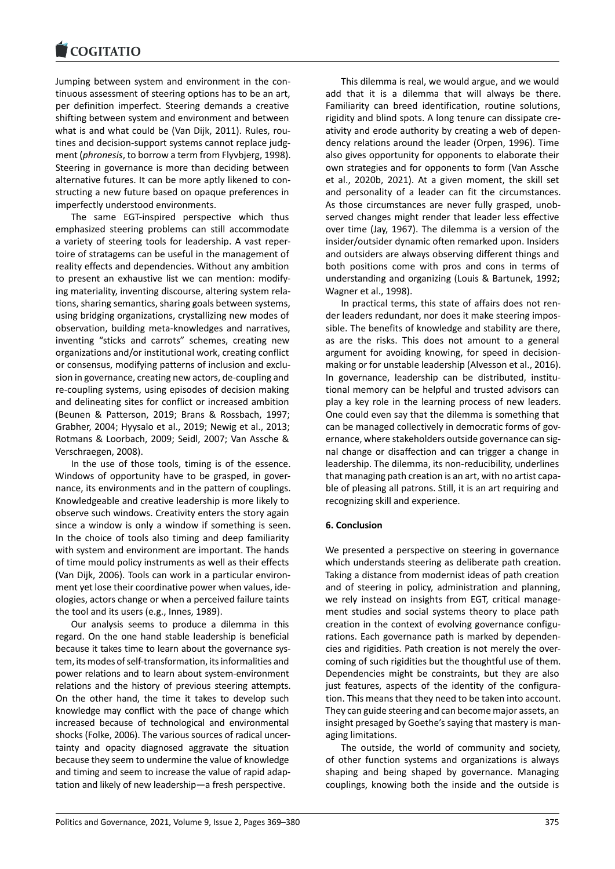Jumping between system and environment in the con‐ [tinuous assessment o](https://www.cogitatiopress.com)f steering options has to be an art, per definition imperfect. Steering demands a creative shifting between system and environment and between what is and what could be (Van Dijk, 2011). Rules, routines and decision‐support systems cannot replace judg‐ ment (*phronesis*, to borrow a term from Flyvbjerg, 1998). Steering in governance is more than deciding between alternative futures. It can be more aptly likened to con‐ structing a new future based on opaque preferences in imperfectly understood environments.

The same EGT-inspired perspective which thus emphasized steering problems can still accommodate a variety of steering tools for leadership. A vast reper‐ toire of stratagems can be useful in the management of reality effects and dependencies. Without any ambition to present an exhaustive list we can mention: modify‐ ing materiality, inventing discourse, altering system rela‐ tions, sharing semantics, sharing goals between systems, using bridging organizations, crystallizing new modes of observation, building meta‐knowledges and narratives, inventing "sticks and carrots" schemes, creating new organizations and/or institutional work, creating conflict or consensus, modifying patterns of inclusion and exclu‐ sion in governance, creating new actors, de‐coupling and re‐coupling systems, using episodes of decision making and delineating sites for conflict or increased ambition (Beunen & Patterson, 2019; Brans & Rossbach, 1997; Grabher, 2004; Hyysalo et al., 2019; Newig et al., 2013; Rotmans & Loorbach, 2009; Seidl, 2007; Van Assche & Verschraegen, 2008).

In the use of those tools, timing is of the essence. Windows of opportunity have to be grasped, in gover‐ nance, its environments and in the pattern of couplings. Knowledgeable and creative leadership is more likely to observe such windows. Creativity enters the story again since a window is only a window if something is seen. In the choice of tools also timing and deep familiarity with system and environment are important. The hands of time mould policy instruments as well as their effects (Van Dijk, 2006). Tools can work in a particular environ‐ ment yet lose their coordinative power when values, ideologies, actors change or when a perceived failure taints the tool and its users (e.g., Innes, 1989).

Our analysis seems to produce a dilemma in this regard. On the one hand stable leadership is beneficial because it takes time to learn about the governance sys‐ tem, its modes of self‐transformation, its informalities and power relations and to learn about system‐environment relations and the history of previous steering attempts. On the other hand, the time it takes to develop such knowledge may conflict with the pace of change which increased because of technological and environmental shocks (Folke, 2006). The various sources of radical uncer‐ tainty and opacity diagnosed aggravate the situation because they seem to undermine the value of knowledge and timing and seem to increase the value of rapid adap‐ tation and likely of new leadership—a fresh perspective.

This dilemma is real, we would argue, and we would add that it is a dilemma that will always be there. Familiarity can breed identification, routine solutions, rigidity and blind spots. A long tenure can dissipate cre‐ ativity and erode authority by creating a web of depen‐ dency relations around the leader (Orpen, 1996). Time also gives opportunity for opponents to elaborate their own strategies and for opponents to form (Van Assche et al., 2020b, 2021). At a given moment, the skill set and personality of a leader can fit the circumstances. As those circumstances are never fully grasped, unob‐ served changes might render that leader less effective over time (Jay, 1967). The dilemma is a version of the insider/outsider dynamic often remarked upon. Insiders and outsiders are always observing different things and both positions come with pros and cons in terms of understanding and organizing (Louis & Bartunek, 1992; Wagner et al., 1998).

In practical terms, this state of affairs does not ren‐ der leaders redundant, nor does it make steering impos‐ sible. The benefits of knowledge and stability are there, as are the risks. This does not amount to a general argument for avoiding knowing, for speed in decision‐ making or for unstable leadership (Alvesson et al., 2016). In governance, leadership can be distributed, institu‐ tional memory can be helpful and trusted advisors can play a key role in the learning process of new leaders. One could even say that the dilemma is something that can be managed collectively in democratic forms of governance, where stakeholders outside governance can sig‐ nal change or disaffection and can trigger a change in leadership. The dilemma, its non‐reducibility, underlines that managing path creation is an art, with no artist capa‐ ble of pleasing all patrons. Still, it is an art requiring and recognizing skill and experience.

# **6. Conclusion**

We presented a perspective on steering in governance which understands steering as deliberate path creation. Taking a distance from modernist ideas of path creation and of steering in policy, administration and planning, we rely instead on insights from EGT, critical management studies and social systems theory to place path creation in the context of evolving governance configurations. Each governance path is marked by dependen‐ cies and rigidities. Path creation is not merely the over‐ coming of such rigidities but the thoughtful use of them. Dependencies might be constraints, but they are also just features, aspects of the identity of the configuration. This means that they need to be taken into account. They can guide steering and can become major assets, an insight presaged by Goethe's saying that mastery is man‐ aging limitations.

The outside, the world of community and society, of other function systems and organizations is always shaping and being shaped by governance. Managing couplings, knowing both the inside and the outside is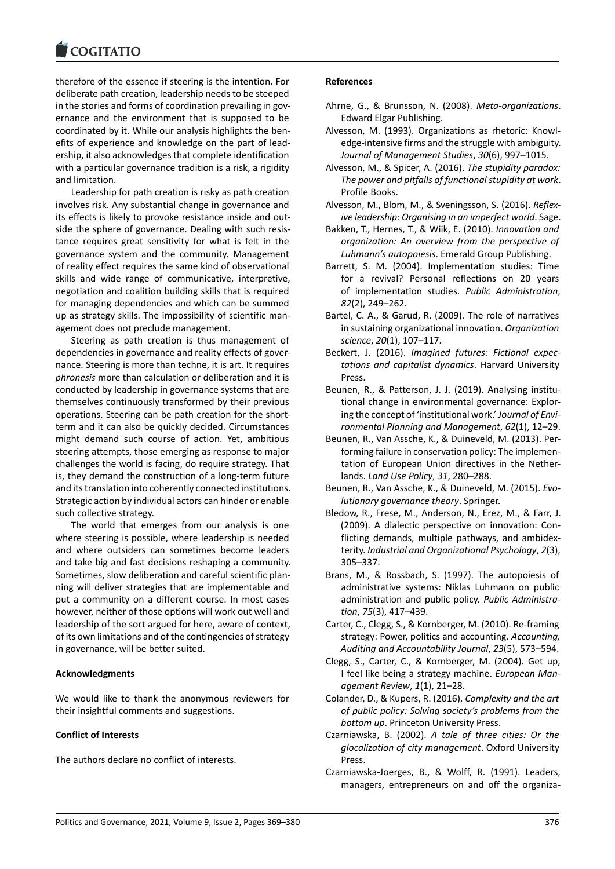#### COGHALIO

therefore of the essence if steering is the intention. For [deliberate path creat](https://www.cogitatiopress.com)ion, leadership needs to be steeped in the stories and forms of coordination prevailing in governance and the environment that is supposed to be coordinated by it. While our analysis highlights the ben‐ efits of experience and knowledge on the part of lead‐ ership, it also acknowledges that complete identification with a particular governance tradition is a risk, a rigidity and limitation.

Leadership for path creation is risky as path creation involves risk. Any substantial change in governance and its effects is likely to provoke resistance inside and out‐ side the sphere of governance. Dealing with such resis‐ tance requires great sensitivity for what is felt in the governance system and the community. Management of reality effect requires the same kind of observational skills and wide range of communicative, interpretive, negotiation and coalition building skills that is required for managing dependencies and which can be summed up as strategy skills. The impossibility of scientific man‐ agement does not preclude management.

Steering as path creation is thus management of dependencies in governance and reality effects of gover‐ nance. Steering is more than techne, it is art. It requires *phronesis* more than calculation or deliberation and it is conducted by leadership in governance systems that are themselves continuously transformed by their previous operations. Steering can be path creation for the short‐ term and it can also be quickly decided. Circumstances might demand such course of action. Yet, ambitious steering attempts, those emerging as response to major challenges the world is facing, do require strategy. That is, they demand the construction of a long‐term future and its translation into coherently connected institutions. Strategic action by individual actors can hinder or enable such collective strategy.

The world that emerges from our analysis is one where steering is possible, where leadership is needed and where outsiders can sometimes become leaders and take big and fast decisions reshaping a community. Sometimes, slow deliberation and careful scientific plan‐ ning will deliver strategies that are implementable and put a community on a different course. In most cases however, neither of those options will work out well and leadership of the sort argued for here, aware of context, of its own limitations and of the contingencies of strategy in governance, will be better suited.

# **Acknowledgments**

We would like to thank the anonymous reviewers for their insightful comments and suggestions.

# **Conflict of Interests**

The authors declare no conflict of interests.

### **References**

- Ahrne, G., & Brunsson, N. (2008). *Meta‐organizations*. Edward Elgar Publishing.
- Alvesson, M. (1993). Organizations as rhetoric: Knowl‐ edge‐intensive firms and the struggle with ambiguity. *Journal of Management Studies*, *30*(6), 997–1015.
- Alvesson, M., & Spicer, A. (2016). *The stupidity paradox: The power and pitfalls of functional stupidity at work*. Profile Books.
- Alvesson, M., Blom, M., & Sveningsson, S. (2016). *Reflex‐ ive leadership: Organising in an imperfect world*. Sage.
- Bakken, T., Hernes, T., & Wiik, E. (2010). *Innovation and organization: An overview from the perspective of Luhmann's autopoiesis*. Emerald Group Publishing.
- Barrett, S. M. (2004). Implementation studies: Time for a revival? Personal reflections on 20 years of implementation studies. *Public Administration*, *82*(2), 249–262.
- Bartel, C. A., & Garud, R. (2009). The role of narratives in sustaining organizational innovation. *Organization science*, *20*(1), 107–117.
- Beckert, J. (2016). *Imagined futures: Fictional expec‐ tations and capitalist dynamics*. Harvard University Press.
- Beunen, R., & Patterson, J. J. (2019). Analysing institu‐ tional change in environmental governance: Explor‐ ing the concept of 'institutional work.' *Journal of Envi‐ ronmental Planning and Management*, *62*(1), 12–29.
- Beunen, R., Van Assche, K., & Duineveld, M. (2013). Per‐ forming failure in conservation policy: The implemen‐ tation of European Union directives in the Nether‐ lands. *Land Use Policy*, *31*, 280–288.
- Beunen, R., Van Assche, K., & Duineveld, M. (2015). *Evo‐ lutionary governance theory*. Springer.
- Bledow, R., Frese, M., Anderson, N., Erez, M., & Farr, J. (2009). A dialectic perspective on innovation: Con‐ flicting demands, multiple pathways, and ambidex‐ terity. *Industrial and Organizational Psychology*, *2*(3), 305–337.
- Brans, M., & Rossbach, S. (1997). The autopoiesis of administrative systems: Niklas Luhmann on public administration and public policy. *Public Administra‐ tion*, *75*(3), 417–439.
- Carter, C., Clegg, S., & Kornberger, M. (2010). Re‐framing strategy: Power, politics and accounting. *Accounting, Auditing and Accountability Journal*, *23*(5), 573–594.
- Clegg, S., Carter, C., & Kornberger, M. (2004). Get up, I feel like being a strategy machine. *European Man‐ agement Review*, *1*(1), 21–28.
- Colander, D., & Kupers, R. (2016). *Complexity and the art of public policy: Solving society's problems from the bottom up*. Princeton University Press.
- Czarniawska, B. (2002). *A tale of three cities: Or the glocalization of city management*. Oxford University Press.
- Czarniawska‐Joerges, B., & Wolff, R. (1991). Leaders, managers, entrepreneurs on and off the organiza‐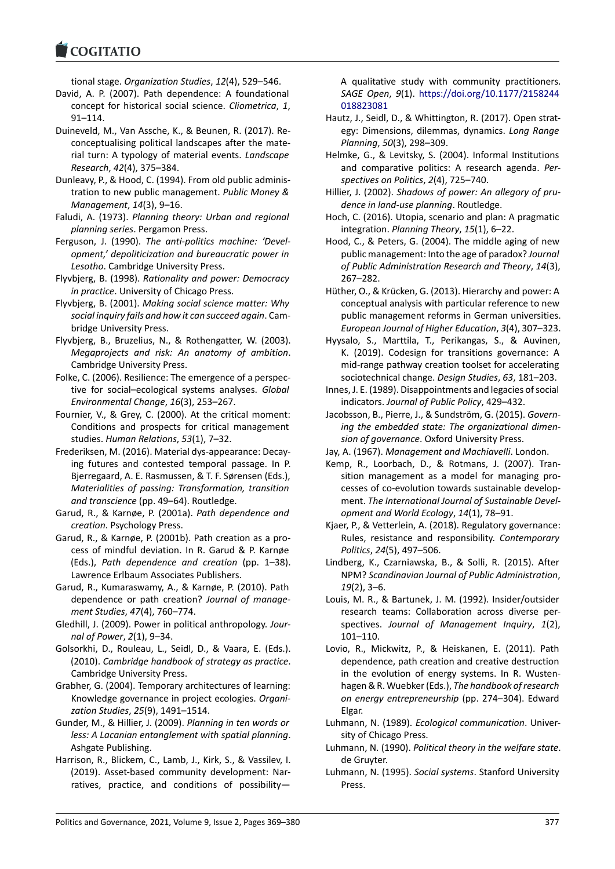tional stage. *Organization Studies*, *12*(4), 529–546.

- [David, A. P. \(2007\).](https://www.cogitatiopress.com) Path dependence: A foundational concept for historical social science. *Cliometrica*, *1*, 91–114.
- Duineveld, M., Van Assche, K., & Beunen, R. (2017). Re‐ conceptualising political landscapes after the mate‐ rial turn: A typology of material events. *Landscape Research*, *42*(4), 375–384.
- Dunleavy, P., & Hood, C. (1994). From old public adminis‐ tration to new public management. *Public Money & Management*, *14*(3), 9–16.
- Faludi, A. (1973). *Planning theory: Urban and regional planning series*. Pergamon Press.
- Ferguson, J. (1990). *The anti‐politics machine: 'Devel‐ opment,' depoliticization and bureaucratic power in Lesotho*. Cambridge University Press.
- Flyvbjerg, B. (1998). *Rationality and power: Democracy in practice*. University of Chicago Press.
- Flyvbjerg, B. (2001). *Making social science matter: Why social inquiry fails and how it can succeed again*. Cam‐ bridge University Press.
- Flyvbjerg, B., Bruzelius, N., & Rothengatter, W. (2003). *Megaprojects and risk: An anatomy of ambition*. Cambridge University Press.
- Folke, C. (2006). Resilience: The emergence of a perspec‐ tive for social–ecological systems analyses. *Global Environmental Change*, *16*(3), 253–267.
- Fournier, V., & Grey, C. (2000). At the critical moment: Conditions and prospects for critical management studies. *Human Relations*, *53*(1), 7–32.
- Frederiksen, M. (2016). Material dys‐appearance: Decay‐ ing futures and contested temporal passage. In P. Bjerregaard, A. E. Rasmussen, & T. F. Sørensen (Eds.), *Materialities of passing: Transformation, transition and transcience* (pp. 49–64). Routledge.
- Garud, R., & Karnøe, P. (2001a). *Path dependence and creation*. Psychology Press.
- Garud, R., & Karnøe, P. (2001b). Path creation as a pro‐ cess of mindful deviation. In R. Garud & P. Karnøe (Eds.), *Path dependence and creation* (pp. 1–38). Lawrence Erlbaum Associates Publishers.
- Garud, R., Kumaraswamy, A., & Karnøe, P. (2010). Path dependence or path creation? *Journal of manage‐ ment Studies*, *47*(4), 760–774.
- Gledhill, J. (2009). Power in political anthropology. *Jour‐ nal of Power*, *2*(1), 9–34.
- Golsorkhi, D., Rouleau, L., Seidl, D., & Vaara, E. (Eds.). (2010). *Cambridge handbook of strategy as practice*. Cambridge University Press.
- Grabher, G. (2004). Temporary architectures of learning: Knowledge governance in project ecologies. *Organi‐ zation Studies*, *25*(9), 1491–1514.
- Gunder, M., & Hillier, J. (2009). *Planning in ten words or less: A Lacanian entanglement with spatial planning*. Ashgate Publishing.
- Harrison, R., Blickem, C., Lamb, J., Kirk, S., & Vassilev, I. (2019). Asset‐based community development: Nar‐ ratives, practice, and conditions of possibility—

A qualitative study with community practitioners. *SAGE Open*, *9*(1). https://doi.org/10.1177/2158244 018823081

- Hautz, J., Seidl, D., & Whittington, R. (2017). Open strat‐ egy: Dimensions, dilemmas, dynamics. *Long Range Planning*, *50*(3), 2[98–309.](https://doi.org/10.1177/2158244018823081)
- Hel[mke, G., &](https://doi.org/10.1177/2158244018823081) Levitsky, S. (2004). Informal Institutions and comparative politics: A research agenda. *Per‐ spectives on Politics*, *2*(4), 725–740.
- Hillier, J. (2002). *Shadows of power: An allegory of pru‐ dence in land‐use planning*. Routledge.
- Hoch, C. (2016). Utopia, scenario and plan: A pragmatic integration. *Planning Theory*, *15*(1), 6–22.
- Hood, C., & Peters, G. (2004). The middle aging of new public management: Into the age of paradox? *Journal of Public Administration Research and Theory*, *14*(3), 267–282.
- Hüther, O., & Krücken, G. (2013). Hierarchy and power: A conceptual analysis with particular reference to new public management reforms in German universities. *European Journal of Higher Education*, *3*(4), 307–323.
- Hyysalo, S., Marttila, T., Perikangas, S., & Auvinen, K. (2019). Codesign for transitions governance: A mid‐range pathway creation toolset for accelerating sociotechnical change. *Design Studies*, *63*, 181–203.
- Innes, J. E. (1989). Disappointments and legacies of social indicators. *Journal of Public Policy*, 429–432.
- Jacobsson, B., Pierre, J., & Sundström, G. (2015). *Govern‐ ing the embedded state: The organizational dimen‐ sion of governance*. Oxford University Press.
- Jay, A. (1967). *Management and Machiavelli*. London.
- Kemp, R., Loorbach, D., & Rotmans, J. (2007). Tran‐ sition management as a model for managing pro‐ cesses of co‐evolution towards sustainable develop‐ ment. *The International Journal of Sustainable Devel‐ opment and World Ecology*, *14*(1), 78–91.
- Kjaer, P., & Vetterlein, A. (2018). Regulatory governance: Rules, resistance and responsibility. *Contemporary Politics*, *24*(5), 497–506.
- Lindberg, K., Czarniawska, B., & Solli, R. (2015). After NPM? *Scandinavian Journal of Public Administration*, *19*(2), 3–6.
- Louis, M. R., & Bartunek, J. M. (1992). Insider/outsider research teams: Collaboration across diverse per‐ spectives. *Journal of Management Inquiry*, *1*(2), 101–110.
- Lovio, R., Mickwitz, P., & Heiskanen, E. (2011). Path dependence, path creation and creative destruction in the evolution of energy systems. In R. Wustenhagen & R. Wuebker (Eds.), *The handbook of research on energy entrepreneurship* (pp. 274–304). Edward Elgar.
- Luhmann, N. (1989). *Ecological communication*. Univer‐ sity of Chicago Press.
- Luhmann, N. (1990). *Political theory in the welfare state*. de Gruyter.
- Luhmann, N. (1995). *Social systems*. Stanford University Press.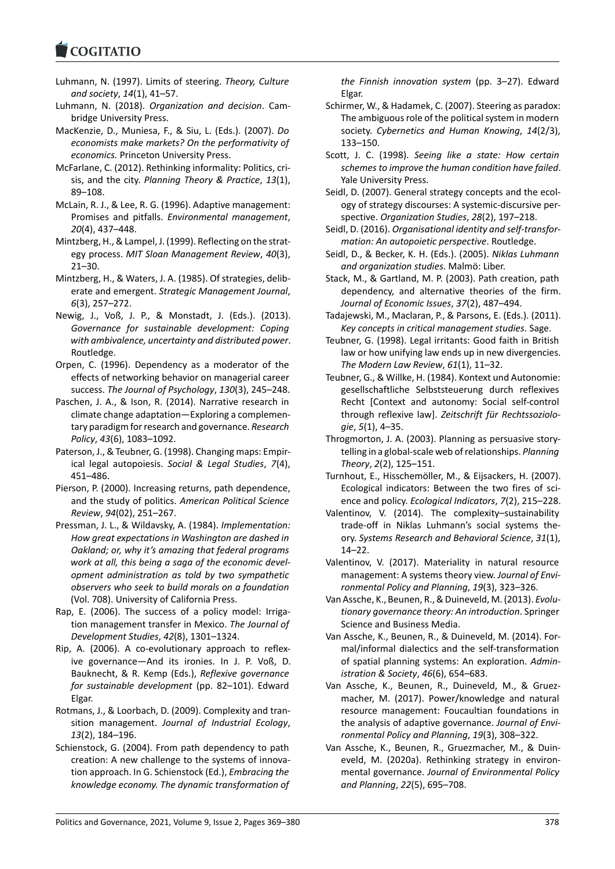- Luhmann, N. (1997). Limits of steering. *Theory, Culture and society*, *14*(1), 41–57.
- [Luhmann, N. \(2018\)](https://www.cogitatiopress.com). *Organization and decision*. Cam‐ bridge University Press.
- MacKenzie, D., Muniesa, F., & Siu, L. (Eds.). (2007). *Do economists make markets? On the performativity of economics.* Princeton University Press.
- McFarlane, C. (2012). Rethinking informality: Politics, cri‐ sis, and the city. *Planning Theory & Practice*, *13*(1), 89–108.
- McLain, R. J., & Lee, R. G. (1996). Adaptive management: Promises and pitfalls. *Environmental management*, *20*(4), 437–448.
- Mintzberg, H., & Lampel, J. (1999). Reflecting on the strat‐ egy process. *MIT Sloan Management Review*, *40*(3), 21–30.
- Mintzberg, H., & Waters, J. A. (1985). Of strategies, delib‐ erate and emergent. *Strategic Management Journal*, *6*(3), 257–272.
- Newig, J., Voß, J. P., & Monstadt, J. (Eds.). (2013). *Governance for sustainable development: Coping with ambivalence, uncertainty and distributed power*. Routledge.
- Orpen, C. (1996). Dependency as a moderator of the effects of networking behavior on managerial career success. *The Journal of Psychology*, *130*(3), 245–248.
- Paschen, J. A., & Ison, R. (2014). Narrative research in climate change adaptation—Exploring a complemen‐ tary paradigm for research and governance. *Research Policy*, *43*(6), 1083–1092.
- Paterson, J., & Teubner, G. (1998). Changing maps: Empir‐ ical legal autopoiesis. *Social & Legal Studies*, *7*(4), 451–486.
- Pierson, P. (2000). Increasing returns, path dependence, and the study of politics. *American Political Science Review*, *94*(02), 251–267.
- Pressman, J. L., & Wildavsky, A. (1984). *Implementation: How great expectations in Washington are dashed in Oakland; or, why it's amazing that federal programs work at all, this being a saga of the economic devel‐ opment administration as told by two sympathetic observers who seek to build morals on a foundation* (Vol. 708). University of California Press.
- Rap, E. (2006). The success of a policy model: Irrigation management transfer in Mexico. *The Journal of Development Studies*, *42*(8), 1301–1324.
- Rip, A. (2006). A co-evolutionary approach to reflexive governance—And its ironies. In J. P. Voß, D. Bauknecht, & R. Kemp (Eds.), *Reflexive governance for sustainable development* (pp. 82–101). Edward Elgar.
- Rotmans, J., & Loorbach, D. (2009). Complexity and tran‐ sition management. *Journal of Industrial Ecology*, *13*(2), 184–196.
- Schienstock, G. (2004). From path dependency to path creation: A new challenge to the systems of innova‐ tion approach. In G. Schienstock (Ed.), *Embracing the knowledge economy. The dynamic transformation of*

*the Finnish innovation system* (pp. 3–27). Edward Elgar.

- Schirmer, W., & Hadamek, C. (2007). Steering as paradox: The ambiguous role of the political system in modern society. *Cybernetics and Human Knowing*, *14*(2/3), 133–150.
- Scott, J. C. (1998). *Seeing like a state: How certain schemes to improve the human condition have failed*. Yale University Press.
- Seidl, D. (2007). General strategy concepts and the ecol‐ ogy of strategy discourses: A systemic‐discursive per‐ spective. *Organization Studies*, *28*(2), 197–218.
- Seidl, D. (2016). *Organisational identity and self‐transfor‐ mation: An autopoietic perspective*. Routledge.
- Seidl, D., & Becker, K. H. (Eds.). (2005). *Niklas Luhmann and organization studies*. Malmö: Liber.
- Stack, M., & Gartland, M. P. (2003). Path creation, path dependency, and alternative theories of the firm. *Journal of Economic Issues*, *37*(2), 487–494.
- Tadajewski, M., Maclaran, P., & Parsons, E. (Eds.). (2011). *Key concepts in critical management studies*. Sage.
- Teubner, G. (1998). Legal irritants: Good faith in British law or how unifying law ends up in new divergencies. *The Modern Law Review*, *61*(1), 11–32.
- Teubner, G., & Willke, H. (1984). Kontext und Autonomie: gesellschaftliche Selbststeuerung durch reflexives Recht [Context and autonomy: Social self‐control through reflexive law]. *Zeitschrift für Rechtssoziolo‐ gie*, *5*(1), 4–35.
- Throgmorton, J. A. (2003). Planning as persuasive story‐ telling in a global‐scale web of relationships. *Planning Theory*, *2*(2), 125–151.
- Turnhout, E., Hisschemöller, M., & Eijsackers, H. (2007). Ecological indicators: Between the two fires of sci‐ ence and policy. *Ecological Indicators*, *7*(2), 215–228.
- Valentinov, V. (2014). The complexity–sustainability trade‐off in Niklas Luhmann's social systems the‐ ory. *Systems Research and Behavioral Science*, *31*(1), 14–22.
- Valentinov, V. (2017). Materiality in natural resource management: A systems theory view. *Journal of Envi‐ ronmental Policy and Planning*, *19*(3), 323–326.
- Van Assche, K., Beunen, R., & Duineveld, M. (2013). *Evolu‐ tionary governance theory: An introduction*. Springer Science and Business Media.
- Van Assche, K., Beunen, R., & Duineveld, M. (2014). For‐ mal/informal dialectics and the self‐transformation of spatial planning systems: An exploration. *Admin‐ istration & Society*, *46*(6), 654–683.
- Van Assche, K., Beunen, R., Duineveld, M., & Gruez‐ macher, M. (2017). Power/knowledge and natural resource management: Foucaultian foundations in the analysis of adaptive governance. *Journal of Envi‐ ronmental Policy and Planning*, *19*(3), 308–322.
- Van Assche, K., Beunen, R., Gruezmacher, M., & Duin‐ eveld, M. (2020a). Rethinking strategy in environ‐ mental governance. *Journal of Environmental Policy and Planning*, *22*(5), 695–708.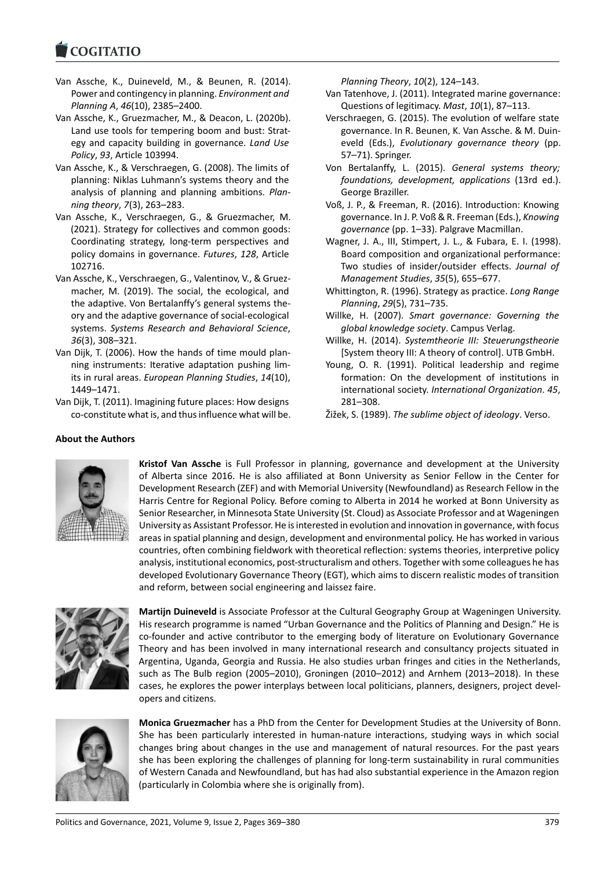#### COQUIATIO

- Van Assche, K., Duineveld, M., & Beunen, R. (2014). [Power and contin](https://www.cogitatiopress.com)gency in planning. *Environment and Planning A*, *46*(10), 2385–2400.
- Van Assche, K., Gruezmacher, M., & Deacon, L. (2020b). Land use tools for tempering boom and bust: Strat‐ egy and capacity building in governance. *Land Use Policy*, *93*, Article 103994.
- Van Assche, K., & Verschraegen, G. (2008). The limits of planning: Niklas Luhmann's systems theory and the analysis of planning and planning ambitions. *Plan‐ ning theory*, *7*(3), 263–283.
- Van Assche, K., Verschraegen, G., & Gruezmacher, M. (2021). Strategy for collectives and common goods: Coordinating strategy, long‐term perspectives and policy domains in governance. *Futures*, *128*, Article 102716.
- Van Assche, K., Verschraegen, G., Valentinov, V., & Gruez‐ macher, M. (2019). The social, the ecological, and the adaptive. Von Bertalanffy's general systems the‐ ory and the adaptive governance of social‐ecological systems. *Systems Research and Behavioral Science*, *36*(3), 308–321.
- Van Dijk, T. (2006). How the hands of time mould plan‐ ning instruments: Iterative adaptation pushing lim‐ its in rural areas. *European Planning Studies*, *14*(10), 1449–1471.
- Van Dijk, T. (2011). Imagining future places: How designs co-constitute what is, and thus influence what will be.

*Planning Theory*, *10*(2), 124–143.

- Van Tatenhove, J. (2011). Integrated marine governance: Questions of legitimacy. *Mast*, *10*(1), 87–113.
- Verschraegen, G. (2015). The evolution of welfare state governance. In R. Beunen, K. Van Assche. & M. Duin‐ eveld (Eds.), *Evolutionary governance theory* (pp. 57–71). Springer.
- Von Bertalanffy, L. (2015). *General systems theory; foundations, development, applications* (13rd ed.). George Braziller.
- Voß, J. P., & Freeman, R. (2016). Introduction: Knowing governance. In J. P. Voß & R. Freeman (Eds.), *Knowing governance* (pp. 1–33). Palgrave Macmillan.
- Wagner, J. A., III, Stimpert, J. L., & Fubara, E. I. (1998). Board composition and organizational performance: Two studies of insider/outsider effects. *Journal of Management Studies*, *35*(5), 655–677.
- Whittington, R. (1996). Strategy as practice. *Long Range Planning*, *29*(5), 731–735.
- Willke, H. (2007). *Smart governance: Governing the global knowledge society*. Campus Verlag.
- Willke, H. (2014). *Systemtheorie III: Steuerungstheorie* [System theory III: A theory of control]. UTB GmbH.
- Young, O. R. (1991). Political leadership and regime formation: On the development of institutions in international society. *International Organization*. *45*, 281–308.
- Žižek, S. (1989). *The sublime object of ideology*. Verso.

# **About the Authors**



**Kristof Van Assche** is Full Professor in planning, governance and development at the University of Alberta since 2016. He is also affiliated at Bonn University as Senior Fellow in the Center for Development Research (ZEF) and with Memorial University (Newfoundland) as Research Fellow in the Harris Centre for Regional Policy. Before coming to Alberta in 2014 he worked at Bonn University as Senior Researcher, in Minnesota State University (St. Cloud) as Associate Professor and at Wageningen University as Assistant Professor. He is interested in evolution and innovation in governance, with focus areas in spatial planning and design, development and environmental policy. He has worked in various countries, often combining fieldwork with theoretical reflection: systems theories, interpretive policy analysis, institutional economics, post‐structuralism and others. Together with some colleagues he has developed Evolutionary Governance Theory (EGT), which aims to discern realistic modes of transition and reform, between social engineering and laissez faire.



**Martijn Duineveld** is Associate Professor at the Cultural Geography Group at Wageningen University. His research programme is named "Urban Governance and the Politics of Planning and Design." He is co-founder and active contributor to the emerging body of literature on Evolutionary Governance Theory and has been involved in many international research and consultancy projects situated in Argentina, Uganda, Georgia and Russia. He also studies urban fringes and cities in the Netherlands, such as The Bulb region (2005–2010), Groningen (2010–2012) and Arnhem (2013–2018). In these cases, he explores the power interplays between local politicians, planners, designers, project devel‐ opers and citizens.



**Monica Gruezmacher** has a PhD from the Center for Development Studies at the University of Bonn. She has been particularly interested in human‐nature interactions, studying ways in which social changes bring about changes in the use and management of natural resources. For the past years she has been exploring the challenges of planning for long-term sustainability in rural communities of Western Canada and Newfoundland, but has had also substantial experience in the Amazon region (particularly in Colombia where she is originally from).